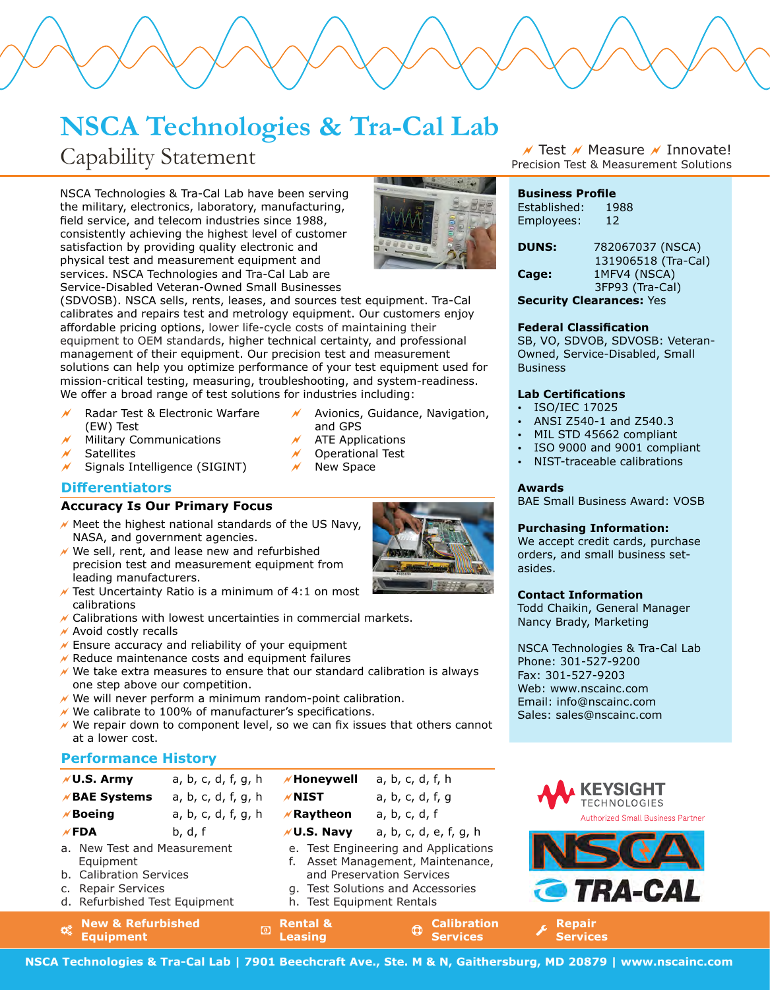## **NSCA Technologies & Tra-Cal Lab**

## Capability Statement

NSCA Technologies & Tra-Cal Lab have been serving the military, electronics, laboratory, manufacturing, field service, and telecom industries since 1988, consistently achieving the highest level of customer satisfaction by providing quality electronic and physical test and measurement equipment and services. NSCA Technologies and Tra-Cal Lab are Service-Disabled Veteran-Owned Small Businesses

(SDVOSB). NSCA sells, rents, leases, and sources test equipment. Tra-Cal calibrates and repairs test and metrology equipment. Our customers enjoy affordable pricing options, lower life-cycle costs of maintaining their equipment to OEM standards, higher technical certainty, and professional management of their equipment. Our precision test and measurement solutions can help you optimize performance of your test equipment used for mission-critical testing, measuring, troubleshooting, and system-readiness. We offer a broad range of test solutions for industries including:

- Radar Test & Electronic Warfare (EW) Test
- Military Communications
- **Satellites**
- $\sqrt{ }$  Signals Intelligence (SIGINT)

### **Differentiators**

### **Accuracy Is Our Primary Focus**

- $\overline{M}$  Meet the highest national standards of the US Navy, NASA, and government agencies.
- $\sqrt{ }$  We sell, rent, and lease new and refurbished precision test and measurement equipment from leading manufacturers.
- $\overline{V}$  Test Uncertainty Ratio is a minimum of 4:1 on most calibrations
- $\sqrt{\ }$  Calibrations with lowest uncertainties in commercial markets.
- $\sqrt{\ }$  Avoid costly recalls
- $\chi$  Ensure accuracy and reliability of your equipment
- $\sqrt{\ }$  Reduce maintenance costs and equipment failures
- $\mathcal N$  We take extra measures to ensure that our standard calibration is always one step above our competition.
- $\prime\prime$  We will never perform a minimum random-point calibration.
- $\prime\prime$  We calibrate to 100% of manufacturer's specifications.
- $\sqrt{ }$  We repair down to component level, so we can fix issues that others cannot at a lower cost.

### **Performance History**

| $M$ U.S. Army                                                                                                              | a, b, c, d, f, g, h | <b>//Honeywell</b>                                                                                                                                                       | a, b, c, d, f, h                                    |  |
|----------------------------------------------------------------------------------------------------------------------------|---------------------|--------------------------------------------------------------------------------------------------------------------------------------------------------------------------|-----------------------------------------------------|--|
| <b>//BAE Systems</b>                                                                                                       | a, b, c, d, f, g, h | $M$ NIST                                                                                                                                                                 | a, b, c, d, f, g                                    |  |
| $M$ Boeing                                                                                                                 | a, b, c, d, f, g, h | $\n  K$ Raytheon                                                                                                                                                         | a, b, c, d, f                                       |  |
| $\times$ FDA                                                                                                               | b, d, f             | $\nu$ U.S. Navy                                                                                                                                                          | a, b, c, d, e, f, g, h                              |  |
| a. New Test and Measurement<br>Equipment<br>b. Calibration Services<br>c. Repair Services<br>d. Refurbished Test Equipment |                     | e. Test Engineering and Applications<br>f. Asset Management, Maintenance,<br>and Preservation Services<br>g. Test Solutions and Accessories<br>h. Test Equipment Rentals |                                                     |  |
| <b>New &amp; Refurbished</b><br>$\mathbf{Q}_0^0$<br><b>Equipment</b>                                                       | $\left( 0 \right)$  | <b>Rental &amp;</b><br><b>Leasing</b>                                                                                                                                    | <b>Calibration</b><br>$\bigcirc$<br><b>Services</b> |  |

Precision Test & Measurement Solutions  $\overline{\prime}$  Test  $\overline{\prime}$  Measure  $\overline{\prime}$  Innovate!

|  | ٠<br>Ξ             |  |
|--|--------------------|--|
|  | ۰<br>Ξ<br>MAG<br>Ξ |  |
|  |                    |  |
|  |                    |  |
|  | ٠                  |  |

Established: 1988 Employees: 12

**Business Profile**

| <b>DUNS:</b> | 782067037 (NSCA)    |  |  |
|--------------|---------------------|--|--|
|              | 131906518 (Tra-Cal) |  |  |
| Cage:        | 1MFV4 (NSCA)        |  |  |
|              | 3FP93 (Tra-Cal)     |  |  |

**Security Clearances:** Yes

### **Federal Classification**

SB, VO, SDVOB, SDVOSB: Veteran-Owned, Service-Disabled, Small Business

### **Lab Certifications**

- ISO/IEC 17025
- ANSI Z540-1 and Z540.3
- MIL STD 45662 compliant
- ISO 9000 and 9001 compliant
- NIST-traceable calibrations

### **Awards**

BAE Small Business Award: VOSB

### **Purchasing Information:**

We accept credit cards, purchase orders, and small business setasides.

### **Contact Information**

Todd Chaikin, General Manager Nancy Brady, Marketing

Email: info@nscainc.com NSCA Technologies & Tra-Cal Lab Fax: 301-527-9203 Web: www.nscainc.com Sales: sales@nscainc.com Phone: 301-527-9200



**NSCA Technologies & Tra-Cal Lab | 7901 Beechcraft Ave., Ste. M & N, Gaithersburg, MD 20879 | www.nscainc.com**



Avionics, Guidance, Navigation,

and GPS